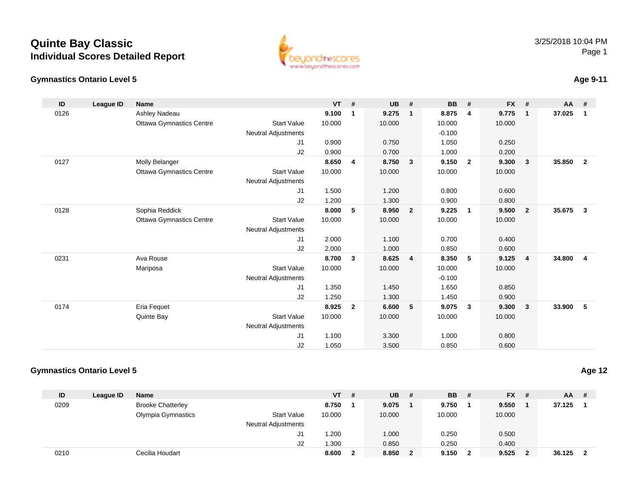#### **Gymnastics Ontario Level 5**

| ID   | League ID | <b>Name</b>                     |                            | <b>VT</b> | #            | <b>UB</b> | #              | <b>BB</b> | #              | <b>FX</b> | #                       | AA     | #                       |
|------|-----------|---------------------------------|----------------------------|-----------|--------------|-----------|----------------|-----------|----------------|-----------|-------------------------|--------|-------------------------|
| 0126 |           | Ashley Nadeau                   |                            | 9.100     | 1            | 9.275     | $\mathbf{1}$   | 8.875     | 4              | 9.775     | $\overline{\mathbf{1}}$ | 37.025 | $\overline{1}$          |
|      |           | <b>Ottawa Gymnastics Centre</b> | <b>Start Value</b>         | 10.000    |              | 10.000    |                | 10.000    |                | 10.000    |                         |        |                         |
|      |           |                                 | Neutral Adjustments        |           |              |           |                | $-0.100$  |                |           |                         |        |                         |
|      |           |                                 | J1                         | 0.900     |              | 0.750     |                | 1.050     |                | 0.250     |                         |        |                         |
|      |           |                                 | J2                         | 0.900     |              | 0.700     |                | 1.000     |                | 0.200     |                         |        |                         |
| 0127 |           | Molly Belanger                  |                            | 8.650     | 4            | 8.750     | 3              | 9.150     | $\overline{2}$ | 9.300     | $\mathbf{3}$            | 35.850 | $\overline{2}$          |
|      |           | <b>Ottawa Gymnastics Centre</b> | <b>Start Value</b>         | 10.000    |              | 10.000    |                | 10.000    |                | 10.000    |                         |        |                         |
|      |           |                                 | Neutral Adjustments        |           |              |           |                |           |                |           |                         |        |                         |
|      |           |                                 | J1                         | 1.500     |              | 1.200     |                | 0.800     |                | 0.600     |                         |        |                         |
|      |           |                                 | J2                         | 1.200     |              | 1.300     |                | 0.900     |                | 0.800     |                         |        |                         |
| 0128 |           | Sophia Reddick                  |                            | 8.000     | 5            | 8.950     | $\overline{2}$ | 9.225     | $\overline{1}$ | 9.500     | $\overline{2}$          | 35.675 | $\overline{\mathbf{3}}$ |
|      |           | <b>Ottawa Gymnastics Centre</b> | <b>Start Value</b>         | 10.000    |              | 10.000    |                | 10.000    |                | 10.000    |                         |        |                         |
|      |           |                                 | <b>Neutral Adjustments</b> |           |              |           |                |           |                |           |                         |        |                         |
|      |           |                                 | J1                         | 2.000     |              | 1.100     |                | 0.700     |                | 0.400     |                         |        |                         |
|      |           |                                 | J2                         | 2.000     |              | 1.000     |                | 0.850     |                | 0.600     |                         |        |                         |
| 0231 |           | Ava Rouse                       |                            | 8.700     | 3            | 8.625     | 4              | 8.350     | 5              | 9.125     | $\overline{4}$          | 34.800 | $\overline{4}$          |
|      |           | Mariposa                        | <b>Start Value</b>         | 10.000    |              | 10.000    |                | 10.000    |                | 10.000    |                         |        |                         |
|      |           |                                 | Neutral Adjustments        |           |              |           |                | $-0.100$  |                |           |                         |        |                         |
|      |           |                                 | J1                         | 1.350     |              | 1.450     |                | 1.650     |                | 0.850     |                         |        |                         |
|      |           |                                 | J <sub>2</sub>             | 1.250     |              | 1.300     |                | 1.450     |                | 0.900     |                         |        |                         |
| 0174 |           | Eria Fequet                     |                            | 8.925     | $\mathbf{2}$ | 6.600     | 5              | 9.075     | $\mathbf{3}$   | 9.300     | $\overline{\mathbf{3}}$ | 33.900 | 5                       |
|      |           | Quinte Bay                      | <b>Start Value</b>         | 10.000    |              | 10.000    |                | 10.000    |                | 10.000    |                         |        |                         |
|      |           |                                 | Neutral Adjustments        |           |              |           |                |           |                |           |                         |        |                         |
|      |           |                                 | J1                         | 1.100     |              | 3.300     |                | 1.000     |                | 0.800     |                         |        |                         |
|      |           |                                 | J <sub>2</sub>             | 1.050     |              | 3.500     |                | 0.850     |                | 0.600     |                         |        |                         |

www.beyondthescores.com

### **Gymnastics Ontario Level 5**

| ID   | League ID | <b>Name</b>              |                     | <b>VT</b> | # | <b>UB</b> | # | <b>BB</b> | # | $FX$ # |   | $AA$ # |                         |
|------|-----------|--------------------------|---------------------|-----------|---|-----------|---|-----------|---|--------|---|--------|-------------------------|
| 0209 |           | <b>Brooke Chatterley</b> |                     | 8.750     |   | 9.075     |   | 9.750     |   | 9.550  |   | 37.125 |                         |
|      |           | Olympia Gymnastics       | <b>Start Value</b>  | 10.000    |   | 10.000    |   | 10.000    |   | 10.000 |   |        |                         |
|      |           |                          | Neutral Adjustments |           |   |           |   |           |   |        |   |        |                         |
|      |           |                          | J1                  | .200      |   | 1.000     |   | 0.250     |   | 0.500  |   |        |                         |
|      |           |                          | J2                  | 1.300     |   | 0.850     |   | 0.250     |   | 0.400  |   |        |                         |
| 0210 |           | Cecilia Houdart          |                     | 8.600     |   | 8.850     | 2 | 9.150     | 2 | 9.525  | 2 | 36.125 | $\overline{\mathbf{2}}$ |

3/25/2018 10:04 PMPage 1

### **Age 12**

### **Age 9-11**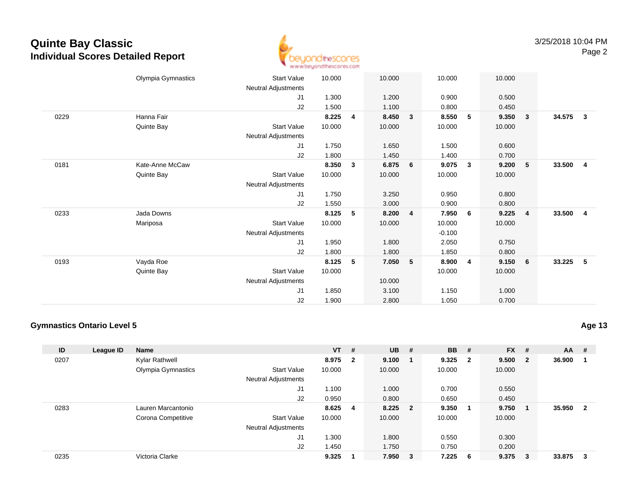

|      | Olympia Gymnastics | <b>Start Value</b>         | 10.000 |              | 10.000 |              | 10.000   |                | 10.000 |                         |        |                         |
|------|--------------------|----------------------------|--------|--------------|--------|--------------|----------|----------------|--------|-------------------------|--------|-------------------------|
|      |                    | Neutral Adjustments        |        |              |        |              |          |                |        |                         |        |                         |
|      |                    | J1                         | 1.300  |              | 1.200  |              | 0.900    |                | 0.500  |                         |        |                         |
|      |                    | J2                         | 1.500  |              | 1.100  |              | 0.800    |                | 0.450  |                         |        |                         |
| 0229 | Hanna Fair         |                            | 8.225  | 4            | 8.450  | $\mathbf{3}$ | 8.550    | 5              | 9.350  | $\overline{\mathbf{3}}$ | 34.575 | $\overline{\mathbf{3}}$ |
|      | Quinte Bay         | <b>Start Value</b>         | 10.000 |              | 10.000 |              | 10.000   |                | 10.000 |                         |        |                         |
|      |                    | Neutral Adjustments        |        |              |        |              |          |                |        |                         |        |                         |
|      |                    | J1                         | 1.750  |              | 1.650  |              | 1.500    |                | 0.600  |                         |        |                         |
|      |                    | J2                         | 1.800  |              | 1.450  |              | 1.400    |                | 0.700  |                         |        |                         |
| 0181 | Kate-Anne McCaw    |                            | 8.350  | $\mathbf{3}$ | 6.875  | 6            | 9.075    | $\mathbf{3}$   | 9.200  | - 5                     | 33.500 | $\overline{4}$          |
|      | Quinte Bay         | <b>Start Value</b>         | 10.000 |              | 10.000 |              | 10.000   |                | 10.000 |                         |        |                         |
|      |                    | Neutral Adjustments        |        |              |        |              |          |                |        |                         |        |                         |
|      |                    | J1                         | 1.750  |              |        |              | 0.950    |                | 0.800  |                         |        |                         |
|      |                    |                            |        |              | 3.250  |              |          |                |        |                         |        |                         |
|      |                    | J2                         | 1.550  |              | 3.000  |              | 0.900    |                | 0.800  |                         |        |                         |
| 0233 | Jada Downs         |                            | 8.125  | 5            | 8.200  | 4            | 7.950    | 6              | 9.225  | $\overline{4}$          | 33.500 | $\overline{\mathbf{4}}$ |
|      | Mariposa           | <b>Start Value</b>         | 10.000 |              | 10.000 |              | 10.000   |                | 10.000 |                         |        |                         |
|      |                    | Neutral Adjustments        |        |              |        |              | $-0.100$ |                |        |                         |        |                         |
|      |                    | J1                         | 1.950  |              | 1.800  |              | 2.050    |                | 0.750  |                         |        |                         |
|      |                    | J2                         | 1.800  |              | 1.800  |              | 1.850    |                | 0.800  |                         |        |                         |
| 0193 | Vayda Roe          |                            | 8.125  | 5            | 7.050  | 5            | 8.900    | $\overline{4}$ | 9.150  | 6                       | 33.225 | - 5                     |
|      | Quinte Bay         | <b>Start Value</b>         | 10.000 |              |        |              | 10.000   |                | 10.000 |                         |        |                         |
|      |                    | <b>Neutral Adjustments</b> |        |              | 10.000 |              |          |                |        |                         |        |                         |
|      |                    | J1                         | 1.850  |              | 3.100  |              | 1.150    |                | 1.000  |                         |        |                         |
|      |                    | J <sub>2</sub>             | 1.900  |              | 2.800  |              | 1.050    |                | 0.700  |                         |        |                         |
|      |                    |                            |        |              |        |              |          |                |        |                         |        |                         |

### **Gymnastics Ontario Level 5**

| ID   | League ID | <b>Name</b>        |                            | $VT$ # |                         | <b>UB</b> | #                       | <b>BB</b> | - #                     | $FX$ # |                         | $AA$ # |                         |
|------|-----------|--------------------|----------------------------|--------|-------------------------|-----------|-------------------------|-----------|-------------------------|--------|-------------------------|--------|-------------------------|
| 0207 |           | Kylar Rathwell     |                            | 8.975  | $\overline{\mathbf{2}}$ | 9.100     | $\blacksquare$          | 9.325     | $\overline{\mathbf{2}}$ | 9.500  | $\overline{\mathbf{2}}$ | 36.900 |                         |
|      |           | Olympia Gymnastics | <b>Start Value</b>         | 10.000 |                         | 10.000    |                         | 10.000    |                         | 10.000 |                         |        |                         |
|      |           |                    | <b>Neutral Adjustments</b> |        |                         |           |                         |           |                         |        |                         |        |                         |
|      |           |                    | J1                         | 1.100  |                         | 1.000     |                         | 0.700     |                         | 0.550  |                         |        |                         |
|      |           |                    | J2                         | 0.950  |                         | 0.800     |                         | 0.650     |                         | 0.450  |                         |        |                         |
| 0283 |           | Lauren Marcantonio |                            | 8.625  | - 4                     | 8.225     | $\overline{\mathbf{2}}$ | 9.350     | -1                      | 9.750  |                         | 35.950 | $\overline{\mathbf{2}}$ |
|      |           | Corona Competitive | <b>Start Value</b>         | 10.000 |                         | 10.000    |                         | 10.000    |                         | 10.000 |                         |        |                         |
|      |           |                    | <b>Neutral Adjustments</b> |        |                         |           |                         |           |                         |        |                         |        |                         |
|      |           |                    | J <sub>1</sub>             | 1.300  |                         | 1.800     |                         | 0.550     |                         | 0.300  |                         |        |                         |
|      |           |                    | J2                         | 1.450  |                         | 1.750     |                         | 0.750     |                         | 0.200  |                         |        |                         |
| 0235 |           | Victoria Clarke    |                            | 9.325  |                         | 7.950     | $_{3}$                  | 7.225     | - 6                     | 9.375  | - 3                     | 33.875 | - 3                     |

**Age 13**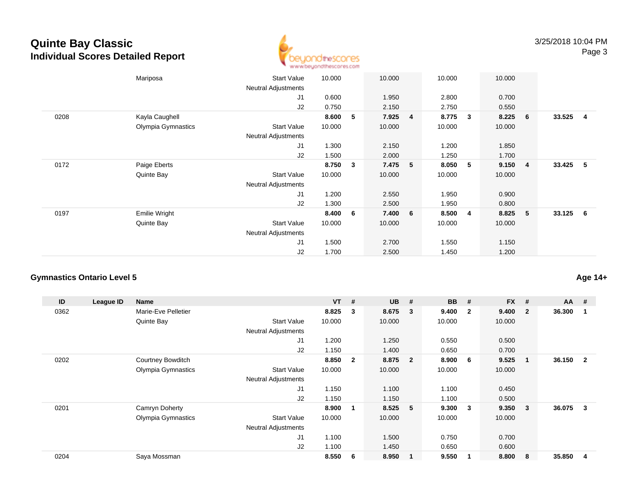

|      | Mariposa           | <b>Start Value</b><br><b>Neutral Adjustments</b> | 10.000 |   | 10.000 |   | 10.000 |   | 10.000 |                |          |                         |
|------|--------------------|--------------------------------------------------|--------|---|--------|---|--------|---|--------|----------------|----------|-------------------------|
|      |                    | J1                                               | 0.600  |   | 1.950  |   | 2.800  |   | 0.700  |                |          |                         |
|      |                    | J2                                               | 0.750  |   | 2.150  |   | 2.750  |   | 0.550  |                |          |                         |
| 0208 | Kayla Caughell     |                                                  | 8.600  | 5 | 7.925  | 4 | 8.775  | 3 | 8.225  | 6              | 33.525   | $\overline{\mathbf{4}}$ |
|      | Olympia Gymnastics | <b>Start Value</b>                               | 10.000 |   | 10.000 |   | 10.000 |   | 10.000 |                |          |                         |
|      |                    | <b>Neutral Adjustments</b>                       |        |   |        |   |        |   |        |                |          |                         |
|      |                    | J1                                               | 1.300  |   | 2.150  |   | 1.200  |   | 1.850  |                |          |                         |
|      |                    | J2                                               | 1.500  |   | 2.000  |   | 1.250  |   | 1.700  |                |          |                         |
| 0172 | Paige Eberts       |                                                  | 8.750  | 3 | 7.475  | 5 | 8.050  | 5 | 9.150  | $\overline{4}$ | 33.425 5 |                         |
|      | Quinte Bay         | <b>Start Value</b>                               | 10.000 |   | 10.000 |   | 10.000 |   | 10.000 |                |          |                         |
|      |                    | Neutral Adjustments                              |        |   |        |   |        |   |        |                |          |                         |
|      |                    | J1                                               | 1.200  |   | 2.550  |   | 1.950  |   | 0.900  |                |          |                         |
|      |                    | J2                                               | 1.300  |   | 2.500  |   | 1.950  |   | 0.800  |                |          |                         |
| 0197 | Emilie Wright      |                                                  | 8.400  | 6 | 7.400  | 6 | 8.500  | 4 | 8.825  | 5              | 33.125 6 |                         |
|      | Quinte Bay         | <b>Start Value</b>                               | 10.000 |   | 10.000 |   | 10.000 |   | 10.000 |                |          |                         |
|      |                    | <b>Neutral Adjustments</b>                       |        |   |        |   |        |   |        |                |          |                         |
|      |                    | J1                                               | 1.500  |   | 2.700  |   | 1.550  |   | 1.150  |                |          |                         |
|      |                    | J2                                               | 1.700  |   | 2.500  |   | 1.450  |   | 1.200  |                |          |                         |

### **Gymnastics Ontario Level 5**

| ID   | League ID | <b>Name</b>              |                            | <b>VT</b> | #            | <b>UB</b> | #                       | <b>BB</b> | #                       | <b>FX</b> | #            | $AA$ # |                |
|------|-----------|--------------------------|----------------------------|-----------|--------------|-----------|-------------------------|-----------|-------------------------|-----------|--------------|--------|----------------|
| 0362 |           | Marie-Eve Pelletier      |                            | 8.825     | 3            | 8.675     | $\overline{\mathbf{3}}$ | 9.400     | $\overline{\mathbf{2}}$ | 9.400     | $\mathbf{2}$ | 36.300 |                |
|      |           | Quinte Bay               | <b>Start Value</b>         | 10.000    |              | 10.000    |                         | 10.000    |                         | 10.000    |              |        |                |
|      |           |                          | Neutral Adjustments        |           |              |           |                         |           |                         |           |              |        |                |
|      |           |                          | J <sub>1</sub>             | 1.200     |              | 1.250     |                         | 0.550     |                         | 0.500     |              |        |                |
|      |           |                          | J2                         | 1.150     |              | 1.400     |                         | 0.650     |                         | 0.700     |              |        |                |
| 0202 |           | <b>Courtney Bowditch</b> |                            | 8.850     | $\mathbf{2}$ | 8.875     | $\overline{\mathbf{2}}$ | 8.900     | - 6                     | 9.525     |              | 36.150 | $\overline{2}$ |
|      |           | Olympia Gymnastics       | <b>Start Value</b>         | 10.000    |              | 10.000    |                         | 10.000    |                         | 10.000    |              |        |                |
|      |           |                          | Neutral Adjustments        |           |              |           |                         |           |                         |           |              |        |                |
|      |           |                          | J1                         | 1.150     |              | 1.100     |                         | 1.100     |                         | 0.450     |              |        |                |
|      |           |                          | J2                         | 1.150     |              | 1.150     |                         | 1.100     |                         | 0.500     |              |        |                |
| 0201 |           | Camryn Doherty           |                            | 8.900     | $\mathbf 1$  | 8.525     | 5                       | 9.300     | -3                      | 9.350     | $\mathbf{3}$ | 36.075 | 3              |
|      |           | Olympia Gymnastics       | <b>Start Value</b>         | 10.000    |              | 10.000    |                         | 10.000    |                         | 10.000    |              |        |                |
|      |           |                          | <b>Neutral Adjustments</b> |           |              |           |                         |           |                         |           |              |        |                |
|      |           |                          | J <sub>1</sub>             | 1.100     |              | 1.500     |                         | 0.750     |                         | 0.700     |              |        |                |
|      |           |                          | J2                         | 1.100     |              | 1.450     |                         | 0.650     |                         | 0.600     |              |        |                |
| 0204 |           | Saya Mossman             |                            | 8.550     | 6            | 8.950     | $\overline{\mathbf{1}}$ | 9.550     | $\mathbf 1$             | 8.800     | 8            | 35.850 | 4              |

**Age 14+**